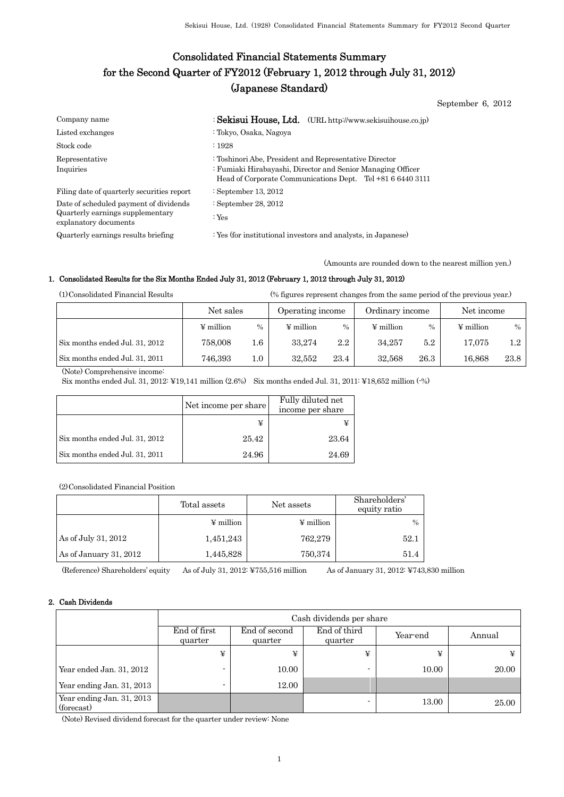# Consolidated Financial Statements Summary for the Second Quarter of FY2012 (February 1, 2012 through July 31, 2012) (Japanese Standard)

September 6, 2012

| Company name                                              | : Sekisui House, Ltd. (URL http://www.sekisuihouse.co.jp)                                                                                                                           |
|-----------------------------------------------------------|-------------------------------------------------------------------------------------------------------------------------------------------------------------------------------------|
| Listed exchanges                                          | : Tokyo, Osaka, Nagoya                                                                                                                                                              |
| Stock code                                                | :1928                                                                                                                                                                               |
| Representative<br>Inquiries                               | : Toshinori Abe, President and Representative Director<br>: Fumiaki Hirabayashi, Director and Senior Managing Officer<br>Head of Corporate Communications Dept. Tel +81 6 6440 3111 |
| Filing date of quarterly securities report                | : September 13, 2012                                                                                                                                                                |
| Date of scheduled payment of dividends                    | : September 28, $2012$                                                                                                                                                              |
| Quarterly earnings supplementary<br>explanatory documents | : Yes                                                                                                                                                                               |

Quarterly earnings results briefing : Yes (for institutional investors and analysts, in Japanese)

(Amounts are rounded down to the nearest million yen.)

# 1. Consolidated Results for the Six Months Ended July 31, 2012 (February 1, 2012 through July 31, 2012)

(1)Consolidated Financial Results (% figures represent changes from the same period of the previous year.)

|                                | Net sales      |         | Operating income |         | Ordinary income |      | Net income     |      |
|--------------------------------|----------------|---------|------------------|---------|-----------------|------|----------------|------|
|                                | $\Psi$ million | $\%$    | $\Psi$ million   | $\%$    | $\Psi$ million  | $\%$ | $\Psi$ million | $\%$ |
| Six months ended Jul. 31, 2012 | 758,008        | $1.6\,$ | 33.274           | $2.2\,$ | 34.257          | 5.2  | 17.075         | 1.2  |
| Six months ended Jul. 31, 2011 | 746.393        | $1.0\,$ | 32.552           | 23.4    | 32.568          | 26.3 | 16.868         | 23.8 |

(Note) Comprehensive income:

Six months ended Jul. 31, 2012: ¥19,141 million (2.6%) Six months ended Jul. 31, 2011: ¥18,652 million (-%)

|                                | Net income per share | Fully diluted net<br>income per share |  |
|--------------------------------|----------------------|---------------------------------------|--|
|                                |                      |                                       |  |
| Six months ended Jul. 31, 2012 | 25.42                | 23.64                                 |  |
| Six months ended Jul. 31, 2011 | 24.96                | 24.69                                 |  |

(2)Consolidated Financial Position

|                        | Total assets   | Net assets | Shareholders'<br>equity ratio |
|------------------------|----------------|------------|-------------------------------|
|                        | $\Psi$ million | ¥ million  | $\%$                          |
| As of July 31, 2012    | 1,451,243      | 762,279    | 52.1                          |
| As of January 31, 2012 | 1,445,828      | 750,374    | 51.4                          |

(Reference) Shareholders' equity As of July 31, 2012: ¥755,516 million As of January 31, 2012: ¥743,830 million

# 2. Cash Dividends

|                                         |                         | Cash dividends per share                                        |                          |       |        |  |
|-----------------------------------------|-------------------------|-----------------------------------------------------------------|--------------------------|-------|--------|--|
|                                         | End of first<br>quarter | End of third<br>End of second<br>Year-end<br>quarter<br>quarter |                          |       | Annual |  |
|                                         | ¥                       | ¥                                                               | ¥                        | ¥     | ¥      |  |
| Year ended Jan. 31, 2012                |                         | 10.00                                                           | $\overline{\phantom{a}}$ | 10.00 | 20.00  |  |
| Year ending Jan. 31, 2013               |                         | 12.00                                                           |                          |       |        |  |
| Year ending Jan. 31, 2013<br>(forecast) |                         |                                                                 |                          | 13.00 | 25.00  |  |

(Note) Revised dividend forecast for the quarter under review: None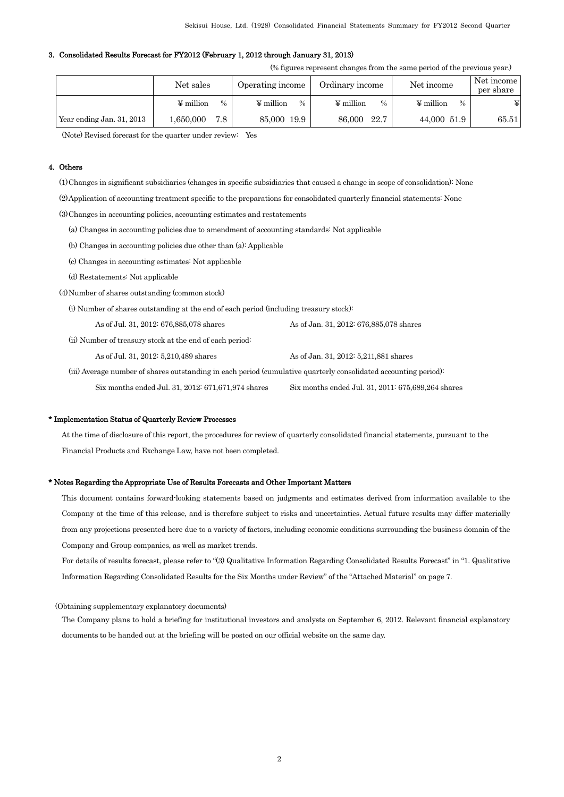## 3. Consolidated Results Forecast for FY2012 (February 1, 2012 through January 31, 2013)

(% figures represent changes from the same period of the previous year.)

|                           | Net sales                  | Operating income           | Ordinary income        | Net income             | Net income<br>per share |
|---------------------------|----------------------------|----------------------------|------------------------|------------------------|-------------------------|
|                           | ¥ million<br>$\frac{0}{0}$ | ¥ million<br>$\frac{0}{0}$ | $\Psi$ million<br>$\%$ | $\Psi$ million<br>$\%$ | ¥                       |
| Year ending Jan. 31, 2013 | 7.8<br>0.650,000           | 85,000 19.9                | 22.7<br>86,000         | 44,000 51.9            | 65.51                   |

(Note) Revised forecast for the quarter under review: Yes

#### 4. Others

(1)Changes in significant subsidiaries (changes in specific subsidiaries that caused a change in scope of consolidation): None

(2)Application of accounting treatment specific to the preparations for consolidated quarterly financial statements: None

(3)Changes in accounting policies, accounting estimates and restatements

(a) Changes in accounting policies due to amendment of accounting standards: Not applicable

(b) Changes in accounting policies due other than (a): Applicable

(c) Changes in accounting estimates: Not applicable

- (d) Restatements: Not applicable
- (4)Number of shares outstanding (common stock)

(i) Number of shares outstanding at the end of each period (including treasury stock):

(ii) Number of treasury stock at the end of each period:

As of Jul. 31, 2012: 5,210,489 shares As of Jan. 31, 2012: 5,211,881 shares

(iii) Average number of shares outstanding in each period (cumulative quarterly consolidated accounting period):

Six months ended Jul. 31, 2012: 671,671,974 shares Six months ended Jul. 31, 2011: 675,689,264 shares

#### \* Implementation Status of Quarterly Review Processes

At the time of disclosure of this report, the procedures for review of quarterly consolidated financial statements, pursuant to the Financial Products and Exchange Law, have not been completed.

#### \* Notes Regarding the Appropriate Use of Results Forecasts and Other Important Matters

This document contains forward-looking statements based on judgments and estimates derived from information available to the Company at the time of this release, and is therefore subject to risks and uncertainties. Actual future results may differ materially from any projections presented here due to a variety of factors, including economic conditions surrounding the business domain of the Company and Group companies, as well as market trends.

For details of results forecast, please refer to "(3) Qualitative Information Regarding Consolidated Results Forecast" in "1. Qualitative Information Regarding Consolidated Results for the Six Months under Review" of the "Attached Material" on page 7.

### (Obtaining supplementary explanatory documents)

The Company plans to hold a briefing for institutional investors and analysts on September 6, 2012. Relevant financial explanatory documents to be handed out at the briefing will be posted on our official website on the same day.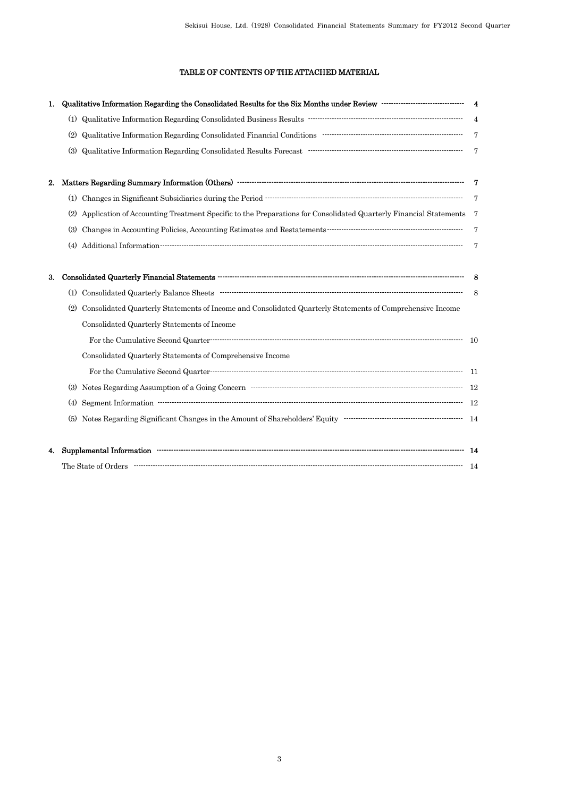# TABLE OF CONTENTS OF THE ATTACHED MATERIAL

| 1. |                                                                                                                                                                                                                                                                                                                                                                                                                                                                     | $\overline{\mathbf{4}}$ |
|----|---------------------------------------------------------------------------------------------------------------------------------------------------------------------------------------------------------------------------------------------------------------------------------------------------------------------------------------------------------------------------------------------------------------------------------------------------------------------|-------------------------|
|    |                                                                                                                                                                                                                                                                                                                                                                                                                                                                     | $\overline{4}$          |
|    | $\label{lem:concl} \textbf{Qualitative Information Regarding Consolidated Financial Conditions \begin{minipage}{.45\textwidth} \centering \textbf{Concoliated Financial Conditions} \end{minipage}$<br>(2)                                                                                                                                                                                                                                                          | 7                       |
|    | (3)                                                                                                                                                                                                                                                                                                                                                                                                                                                                 | $\overline{7}$          |
| 2. |                                                                                                                                                                                                                                                                                                                                                                                                                                                                     | - 7                     |
|    |                                                                                                                                                                                                                                                                                                                                                                                                                                                                     |                         |
|    | (2) Application of Accounting Treatment Specific to the Preparations for Consolidated Quarterly Financial Statements 7                                                                                                                                                                                                                                                                                                                                              |                         |
|    | $\label{prop:main} \textbf{Changes in}\textbf{Accounting} \textbf{Policies}, \textbf{Accounting}\textbf{Estimates}\textbf{ and}\textbf{Restatement} \textbf{3} \textbf{3} \textbf{3} \textbf{3} \textbf{3} \textbf{4} \textbf{5} \textbf{5} \textbf{6} \textbf{6} \textbf{7} \textbf{8} \textbf{9} \textbf{10} \textbf{10} \textbf{10} \textbf{10} \textbf{10} \textbf{10} \textbf{10} \textbf{10} \textbf{10} \textbf{10} \textbf{10} \textbf{10} \textbf{$<br>(3) | $\overline{7}$          |
|    |                                                                                                                                                                                                                                                                                                                                                                                                                                                                     | 7                       |
| 3. |                                                                                                                                                                                                                                                                                                                                                                                                                                                                     | - 8                     |
|    |                                                                                                                                                                                                                                                                                                                                                                                                                                                                     | 8                       |
|    | Consolidated Quarterly Statements of Income and Consolidated Quarterly Statements of Comprehensive Income<br>(2)                                                                                                                                                                                                                                                                                                                                                    |                         |
|    | Consolidated Quarterly Statements of Income                                                                                                                                                                                                                                                                                                                                                                                                                         |                         |
|    |                                                                                                                                                                                                                                                                                                                                                                                                                                                                     | $\overline{10}$         |
|    | Consolidated Quarterly Statements of Comprehensive Income                                                                                                                                                                                                                                                                                                                                                                                                           |                         |
|    |                                                                                                                                                                                                                                                                                                                                                                                                                                                                     |                         |
|    |                                                                                                                                                                                                                                                                                                                                                                                                                                                                     |                         |
|    | (4)                                                                                                                                                                                                                                                                                                                                                                                                                                                                 |                         |
|    |                                                                                                                                                                                                                                                                                                                                                                                                                                                                     |                         |
| 4. |                                                                                                                                                                                                                                                                                                                                                                                                                                                                     |                         |
|    |                                                                                                                                                                                                                                                                                                                                                                                                                                                                     |                         |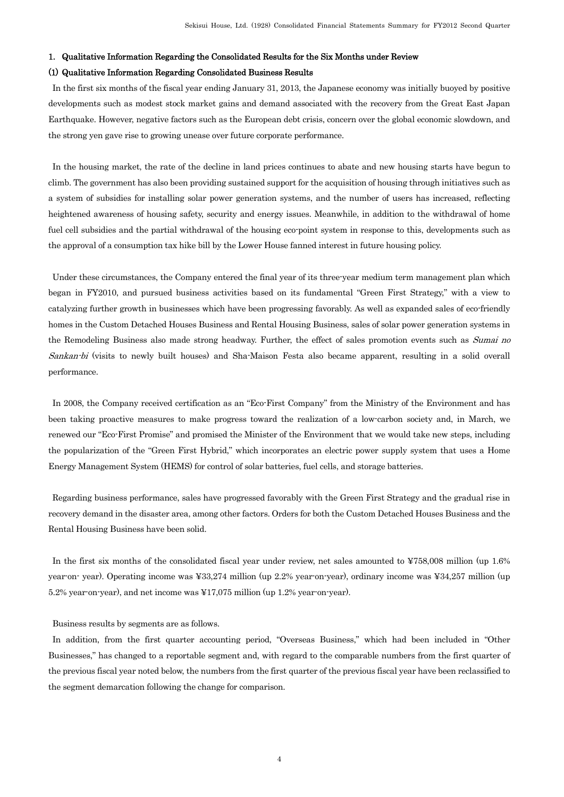#### 1. Qualitative Information Regarding the Consolidated Results for the Six Months under Review

## (1) Qualitative Information Regarding Consolidated Business Results

In the first six months of the fiscal year ending January 31, 2013, the Japanese economy was initially buoyed by positive developments such as modest stock market gains and demand associated with the recovery from the Great East Japan Earthquake. However, negative factors such as the European debt crisis, concern over the global economic slowdown, and the strong yen gave rise to growing unease over future corporate performance.

In the housing market, the rate of the decline in land prices continues to abate and new housing starts have begun to climb. The government has also been providing sustained support for the acquisition of housing through initiatives such as a system of subsidies for installing solar power generation systems, and the number of users has increased, reflecting heightened awareness of housing safety, security and energy issues. Meanwhile, in addition to the withdrawal of home fuel cell subsidies and the partial withdrawal of the housing eco-point system in response to this, developments such as the approval of a consumption tax hike bill by the Lower House fanned interest in future housing policy.

Under these circumstances, the Company entered the final year of its three-year medium term management plan which began in FY2010, and pursued business activities based on its fundamental "Green First Strategy," with a view to catalyzing further growth in businesses which have been progressing favorably. As well as expanded sales of eco-friendly homes in the Custom Detached Houses Business and Rental Housing Business, sales of solar power generation systems in the Remodeling Business also made strong headway. Further, the effect of sales promotion events such as Sumai no Sankan-bi (visits to newly built houses) and Sha-Maison Festa also became apparent, resulting in a solid overall performance.

In 2008, the Company received certification as an "Eco-First Company" from the Ministry of the Environment and has been taking proactive measures to make progress toward the realization of a low-carbon society and, in March, we renewed our "Eco-First Promise" and promised the Minister of the Environment that we would take new steps, including the popularization of the "Green First Hybrid," which incorporates an electric power supply system that uses a Home Energy Management System (HEMS) for control of solar batteries, fuel cells, and storage batteries.

Regarding business performance, sales have progressed favorably with the Green First Strategy and the gradual rise in recovery demand in the disaster area, among other factors. Orders for both the Custom Detached Houses Business and the Rental Housing Business have been solid.

In the first six months of the consolidated fiscal year under review, net sales amounted to ¥758,008 million (up 1.6% year-on- year). Operating income was ¥33,274 million (up 2.2% year-on-year), ordinary income was ¥34,257 million (up 5.2% year-on-year), and net income was ¥17,075 million (up 1.2% year-on-year).

Business results by segments are as follows.

In addition, from the first quarter accounting period, "Overseas Business," which had been included in "Other Businesses," has changed to a reportable segment and, with regard to the comparable numbers from the first quarter of the previous fiscal year noted below, the numbers from the first quarter of the previous fiscal year have been reclassified to the segment demarcation following the change for comparison.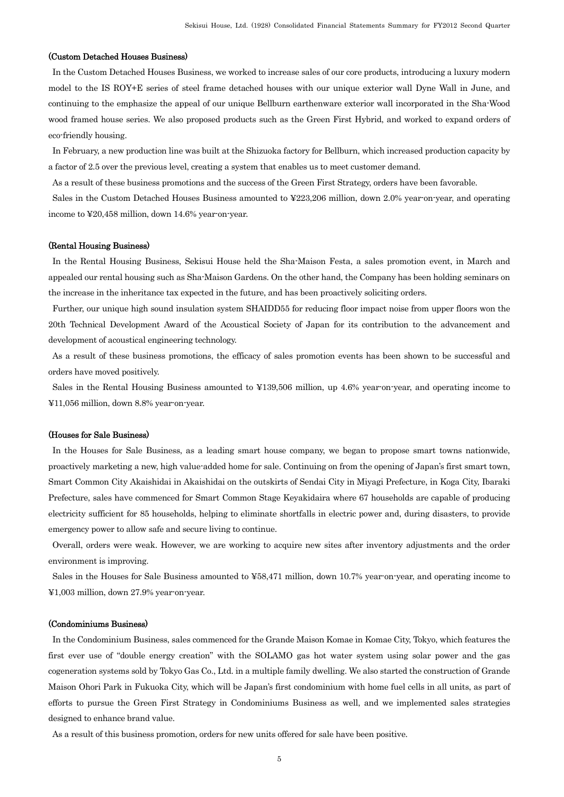# (Custom Detached Houses Business)

In the Custom Detached Houses Business, we worked to increase sales of our core products, introducing a luxury modern model to the IS ROY+E series of steel frame detached houses with our unique exterior wall Dyne Wall in June, and continuing to the emphasize the appeal of our unique Bellburn earthenware exterior wall incorporated in the Sha-Wood wood framed house series. We also proposed products such as the Green First Hybrid, and worked to expand orders of eco-friendly housing.

In February, a new production line was built at the Shizuoka factory for Bellburn, which increased production capacity by a factor of 2.5 over the previous level, creating a system that enables us to meet customer demand.

As a result of these business promotions and the success of the Green First Strategy, orders have been favorable.

Sales in the Custom Detached Houses Business amounted to ¥223,206 million, down 2.0% year-on-year, and operating income to ¥20,458 million, down 14.6% year-on-year.

#### (Rental Housing Business)

In the Rental Housing Business, Sekisui House held the Sha-Maison Festa, a sales promotion event, in March and appealed our rental housing such as Sha-Maison Gardens. On the other hand, the Company has been holding seminars on the increase in the inheritance tax expected in the future, and has been proactively soliciting orders.

Further, our unique high sound insulation system SHAIDD55 for reducing floor impact noise from upper floors won the 20th Technical Development Award of the Acoustical Society of Japan for its contribution to the advancement and development of acoustical engineering technology.

As a result of these business promotions, the efficacy of sales promotion events has been shown to be successful and orders have moved positively.

Sales in the Rental Housing Business amounted to ¥139,506 million, up 4.6% year-on-year, and operating income to ¥11,056 million, down 8.8% year-on-year.

#### (Houses for Sale Business)

In the Houses for Sale Business, as a leading smart house company, we began to propose smart towns nationwide, proactively marketing a new, high value-added home for sale. Continuing on from the opening of Japan's first smart town, Smart Common City Akaishidai in Akaishidai on the outskirts of Sendai City in Miyagi Prefecture, in Koga City, Ibaraki Prefecture, sales have commenced for Smart Common Stage Keyakidaira where 67 households are capable of producing electricity sufficient for 85 households, helping to eliminate shortfalls in electric power and, during disasters, to provide emergency power to allow safe and secure living to continue.

Overall, orders were weak. However, we are working to acquire new sites after inventory adjustments and the order environment is improving.

Sales in the Houses for Sale Business amounted to ¥58,471 million, down 10.7% year-on-year, and operating income to ¥1,003 million, down 27.9% year-on-year.

#### (Condominiums Business)

In the Condominium Business, sales commenced for the Grande Maison Komae in Komae City, Tokyo, which features the first ever use of "double energy creation" with the SOLAMO gas hot water system using solar power and the gas cogeneration systems sold by Tokyo Gas Co., Ltd. in a multiple family dwelling. We also started the construction of Grande Maison Ohori Park in Fukuoka City, which will be Japan's first condominium with home fuel cells in all units, as part of efforts to pursue the Green First Strategy in Condominiums Business as well, and we implemented sales strategies designed to enhance brand value.

As a result of this business promotion, orders for new units offered for sale have been positive.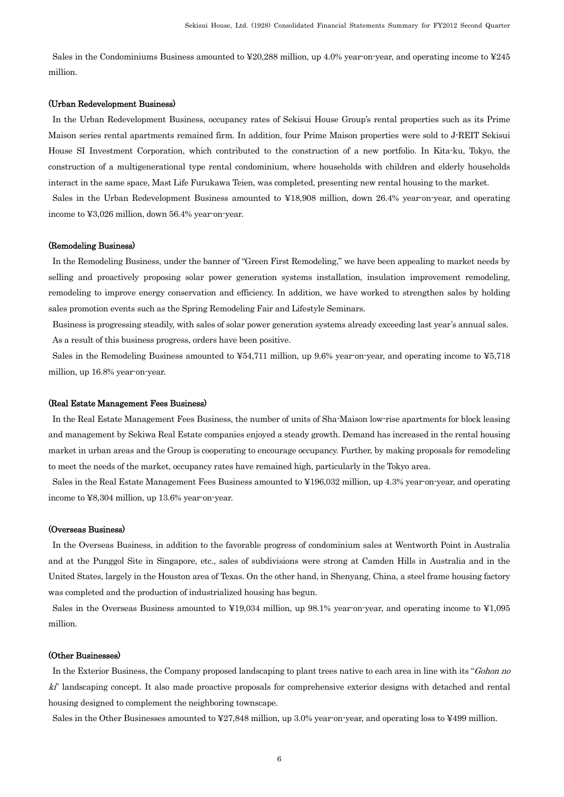Sales in the Condominiums Business amounted to ¥20,288 million, up 4.0% year-on-year, and operating income to ¥245 million.

#### (Urban Redevelopment Business)

In the Urban Redevelopment Business, occupancy rates of Sekisui House Group's rental properties such as its Prime Maison series rental apartments remained firm. In addition, four Prime Maison properties were sold to J-REIT Sekisui House SI Investment Corporation, which contributed to the construction of a new portfolio. In Kita-ku, Tokyo, the construction of a multigenerational type rental condominium, where households with children and elderly households interact in the same space, Mast Life Furukawa Teien, was completed, presenting new rental housing to the market.

Sales in the Urban Redevelopment Business amounted to ¥18,908 million, down 26.4% year-on-year, and operating income to ¥3,026 million, down 56.4% year-on-year.

#### (Remodeling Business)

In the Remodeling Business, under the banner of "Green First Remodeling," we have been appealing to market needs by selling and proactively proposing solar power generation systems installation, insulation improvement remodeling, remodeling to improve energy conservation and efficiency. In addition, we have worked to strengthen sales by holding sales promotion events such as the Spring Remodeling Fair and Lifestyle Seminars.

Business is progressing steadily, with sales of solar power generation systems already exceeding last year's annual sales. As a result of this business progress, orders have been positive.

Sales in the Remodeling Business amounted to  $\frac{1}{2}54,711$  million, up 9.6% year-on-year, and operating income to  $\frac{1}{2}5,718$ million, up 16.8% year-on-year.

#### (Real Estate Management Fees Business)

In the Real Estate Management Fees Business, the number of units of Sha-Maison low-rise apartments for block leasing and management by Sekiwa Real Estate companies enjoyed a steady growth. Demand has increased in the rental housing market in urban areas and the Group is cooperating to encourage occupancy. Further, by making proposals for remodeling to meet the needs of the market, occupancy rates have remained high, particularly in the Tokyo area.

Sales in the Real Estate Management Fees Business amounted to ¥196,032 million, up 4.3% year-on-year, and operating income to ¥8,304 million, up 13.6% year-on-year.

### (Overseas Business)

In the Overseas Business, in addition to the favorable progress of condominium sales at Wentworth Point in Australia and at the Punggol Site in Singapore, etc., sales of subdivisions were strong at Camden Hills in Australia and in the United States, largely in the Houston area of Texas. On the other hand, in Shenyang, China, a steel frame housing factory was completed and the production of industrialized housing has begun.

Sales in the Overseas Business amounted to ¥19,034 million, up 98.1% year-on-year, and operating income to ¥1,095 million.

#### (Other Businesses)

In the Exterior Business, the Company proposed landscaping to plant trees native to each area in line with its "Gohon no ki" landscaping concept. It also made proactive proposals for comprehensive exterior designs with detached and rental housing designed to complement the neighboring townscape.

Sales in the Other Businesses amounted to ¥27,848 million, up 3.0% year-on-year, and operating loss to ¥499 million.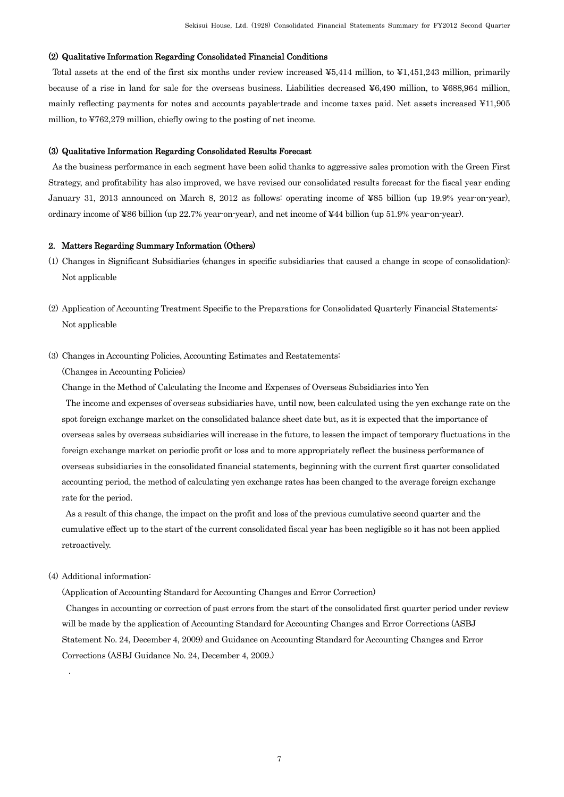# (2) Qualitative Information Regarding Consolidated Financial Conditions

Total assets at the end of the first six months under review increased ¥5,414 million, to ¥1,451,243 million, primarily because of a rise in land for sale for the overseas business. Liabilities decreased ¥6,490 million, to ¥688,964 million, mainly reflecting payments for notes and accounts payable-trade and income taxes paid. Net assets increased ¥11,905 million, to ¥762,279 million, chiefly owing to the posting of net income.

## (3) Qualitative Information Regarding Consolidated Results Forecast

As the business performance in each segment have been solid thanks to aggressive sales promotion with the Green First Strategy, and profitability has also improved, we have revised our consolidated results forecast for the fiscal year ending January 31, 2013 announced on March 8, 2012 as follows: operating income of ¥85 billion (up 19.9% year-on-year), ordinary income of ¥86 billion (up 22.7% year-on-year), and net income of ¥44 billion (up 51.9% year-on-year).

#### 2. Matters Regarding Summary Information (Others)

- (1) Changes in Significant Subsidiaries (changes in specific subsidiaries that caused a change in scope of consolidation): Not applicable
- (2) Application of Accounting Treatment Specific to the Preparations for Consolidated Quarterly Financial Statements: Not applicable

# (3) Changes in Accounting Policies, Accounting Estimates and Restatements:

(Changes in Accounting Policies)

Change in the Method of Calculating the Income and Expenses of Overseas Subsidiaries into Yen

The income and expenses of overseas subsidiaries have, until now, been calculated using the yen exchange rate on the spot foreign exchange market on the consolidated balance sheet date but, as it is expected that the importance of overseas sales by overseas subsidiaries will increase in the future, to lessen the impact of temporary fluctuations in the foreign exchange market on periodic profit or loss and to more appropriately reflect the business performance of overseas subsidiaries in the consolidated financial statements, beginning with the current first quarter consolidated accounting period, the method of calculating yen exchange rates has been changed to the average foreign exchange rate for the period.

As a result of this change, the impact on the profit and loss of the previous cumulative second quarter and the cumulative effect up to the start of the current consolidated fiscal year has been negligible so it has not been applied retroactively.

# (4) Additional information:

.

(Application of Accounting Standard for Accounting Changes and Error Correction)

Changes in accounting or correction of past errors from the start of the consolidated first quarter period under review will be made by the application of Accounting Standard for Accounting Changes and Error Corrections (ASBJ Statement No. 24, December 4, 2009) and Guidance on Accounting Standard for Accounting Changes and Error Corrections (ASBJ Guidance No. 24, December 4, 2009.)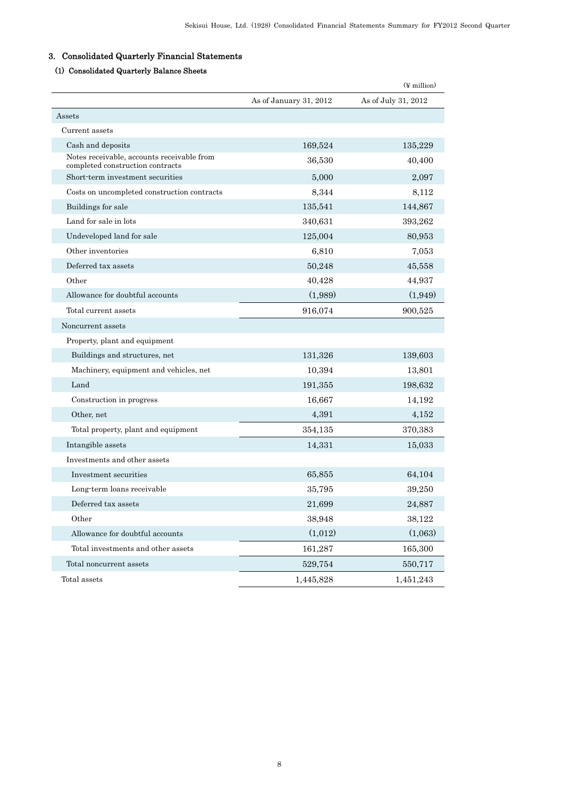# 3. Consolidated Quarterly Financial Statements

# (1) Consolidated Quarterly Balance Sheets

|                                                                                |                        | $(\frac{y}{x})$ million |
|--------------------------------------------------------------------------------|------------------------|-------------------------|
|                                                                                | As of January 31, 2012 | As of July 31, 2012     |
| Assets                                                                         |                        |                         |
| Current assets                                                                 |                        |                         |
| Cash and deposits                                                              | 169,524                | 135,229                 |
| Notes receivable, accounts receivable from<br>completed construction contracts | 36,530                 | 40,400                  |
| Short term investment securities                                               | 5,000                  | 2,097                   |
| Costs on uncompleted construction contracts                                    | 8,344                  | 8,112                   |
| Buildings for sale                                                             | 135,541                | 144,867                 |
| Land for sale in lots                                                          | 340,631                | 393,262                 |
| Undeveloped land for sale                                                      | 125,004                | 80,953                  |
| Other inventories                                                              | 6,810                  | 7,053                   |
| Deferred tax assets                                                            | 50,248                 | 45,558                  |
| Other                                                                          | 40,428                 | 44,937                  |
| Allowance for doubtful accounts                                                | (1,989)                | (1,949)                 |
| Total current assets                                                           | 916,074                | 900,525                 |
| Noncurrent assets                                                              |                        |                         |
| Property, plant and equipment                                                  |                        |                         |
| Buildings and structures, net                                                  | 131,326                | 139,603                 |
| Machinery, equipment and vehicles, net                                         | 10,394                 | 13,801                  |
| Land                                                                           | 191,355                | 198,632                 |
| Construction in progress                                                       | 16,667                 | 14,192                  |
| Other, net                                                                     | 4,391                  | 4,152                   |
| Total property, plant and equipment                                            | 354,135                | 370,383                 |
| Intangible assets                                                              | 14,331                 | 15,033                  |
| Investments and other assets                                                   |                        |                         |
| Investment securities                                                          | 65,855                 | 64,104                  |
| Long term loans receivable                                                     | 35,795                 | 39,250                  |
| Deferred tax assets                                                            | 21,699                 | 24,887                  |
| Other                                                                          | 38,948                 | 38,122                  |
| Allowance for doubtful accounts                                                | (1,012)                | (1,063)                 |
| Total investments and other assets                                             | 161,287                | 165,300                 |
| Total noncurrent assets                                                        | 529,754                | 550,717                 |
| Total assets                                                                   | 1,445,828              | 1,451,243               |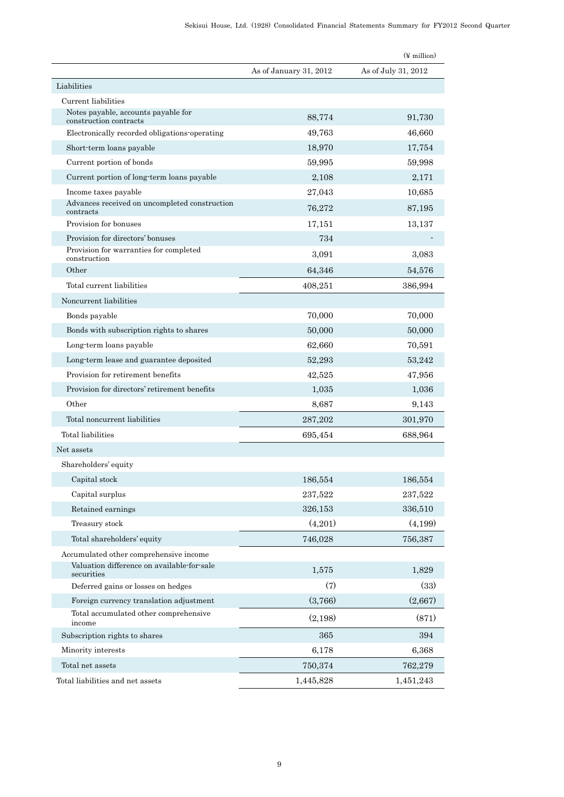|                                                                                                    |                        | $(\frac{y}{x})$ million |
|----------------------------------------------------------------------------------------------------|------------------------|-------------------------|
|                                                                                                    | As of January 31, 2012 | As of July 31, 2012     |
| Liabilities                                                                                        |                        |                         |
| Current liabilities                                                                                |                        |                         |
| Notes payable, accounts payable for<br>construction contracts                                      | 88,774                 | 91,730                  |
| Electronically recorded obligations operating                                                      | 49,763                 | 46,660                  |
| Short-term loans payable                                                                           | 18,970                 | 17,754                  |
| Current portion of bonds                                                                           | 59,995                 | 59,998                  |
| Current portion of long-term loans payable                                                         | 2,108                  | 2,171                   |
| Income taxes payable                                                                               | 27,043                 | 10,685                  |
| Advances received on uncompleted construction<br>contracts                                         | 76,272                 | 87,195                  |
| Provision for bonuses                                                                              | 17,151                 | 13,137                  |
| Provision for directors' bonuses                                                                   | 734                    |                         |
| Provision for warranties for completed                                                             | 3,091                  | 3,083                   |
| construction<br>Other                                                                              | 64,346                 | 54,576                  |
| Total current liabilities                                                                          | 408,251                | 386,994                 |
| Noncurrent liabilities                                                                             |                        |                         |
| Bonds payable                                                                                      | 70,000                 | 70,000                  |
| Bonds with subscription rights to shares                                                           | 50,000                 | 50,000                  |
| Long-term loans payable                                                                            | 62,660                 | 70,591                  |
| Long term lease and guarantee deposited                                                            | 52,293                 | 53,242                  |
| Provision for retirement benefits                                                                  | 42,525                 | 47,956                  |
| Provision for directors' retirement benefits                                                       | 1,035                  | 1,036                   |
| Other                                                                                              | 8,687                  | 9,143                   |
| Total noncurrent liabilities                                                                       | 287,202                | 301,970                 |
| Total liabilities                                                                                  | 695,454                | 688,964                 |
|                                                                                                    |                        |                         |
| Net assets                                                                                         |                        |                         |
| Shareholders' equity                                                                               |                        | 186,554                 |
| Capital stock<br>Capital surplus                                                                   | 186,554<br>237,522     | 237,522                 |
| Retained earnings                                                                                  | 326,153                | 336,510                 |
| Treasury stock                                                                                     | (4,201)                | (4,199)                 |
|                                                                                                    |                        |                         |
| Total shareholders' equity                                                                         | 746,028                | 756,387                 |
| Accumulated other comprehensive income<br>Valuation difference on available-for-sale<br>securities | 1,575                  | 1,829                   |
| Deferred gains or losses on hedges                                                                 | (7)                    | (33)                    |
| Foreign currency translation adjustment                                                            | (3,766)                | (2,667)                 |
| Total accumulated other comprehensive<br>income                                                    | (2,198)                | (871)                   |
| Subscription rights to shares                                                                      | 365                    | 394                     |
| Minority interests                                                                                 | 6,178                  | 6,368                   |
| Total net assets                                                                                   | 750,374                | 762,279                 |
| Total liabilities and net assets                                                                   | 1,445,828              | 1,451,243               |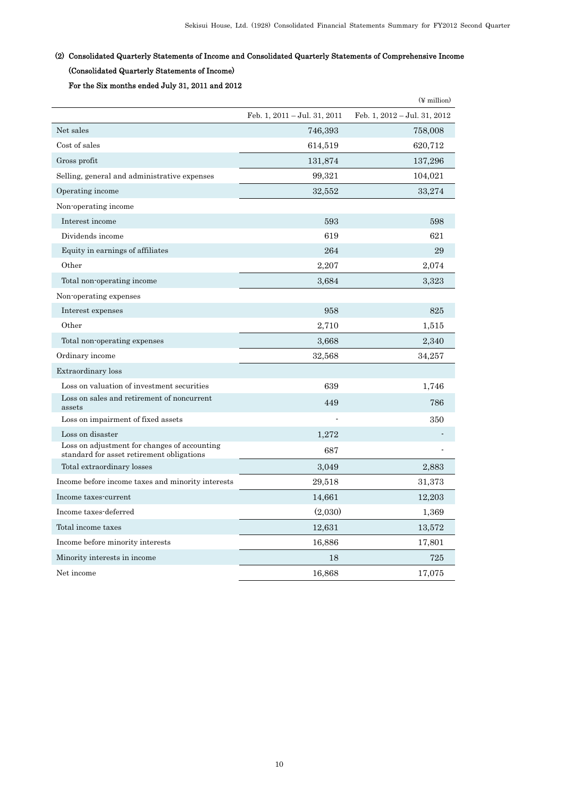# (2) Consolidated Quarterly Statements of Income and Consolidated Quarterly Statements of Comprehensive Income (Consolidated Quarterly Statements of Income)

For the Six months ended July 31, 2011 and 2012

|                                                                                           |                              | $(\frac{1}{2}$ million)          |
|-------------------------------------------------------------------------------------------|------------------------------|----------------------------------|
|                                                                                           | Feb. 1, 2011 – Jul. 31, 2011 | Feb. 1, $2012 -$ Jul. 31, $2012$ |
| Net sales                                                                                 | 746,393                      | 758,008                          |
| Cost of sales                                                                             | 614,519                      | 620,712                          |
| Gross profit                                                                              | 131,874                      | 137,296                          |
| Selling, general and administrative expenses                                              | 99,321                       | 104,021                          |
| Operating income                                                                          | 32,552                       | 33,274                           |
| Non operating income                                                                      |                              |                                  |
| Interest income                                                                           | 593                          | 598                              |
| Dividends income                                                                          | 619                          | 621                              |
| Equity in earnings of affiliates                                                          | 264                          | 29                               |
| Other                                                                                     | 2,207                        | 2,074                            |
| Total non-operating income                                                                | 3,684                        | 3,323                            |
| Non-operating expenses                                                                    |                              |                                  |
| Interest expenses                                                                         | 958                          | 825                              |
| Other                                                                                     | 2,710                        | 1,515                            |
| Total non-operating expenses                                                              | 3,668                        | 2,340                            |
| Ordinary income                                                                           | 32,568                       | 34,257                           |
| <b>Extraordinary loss</b>                                                                 |                              |                                  |
| Loss on valuation of investment securities                                                | 639                          | 1,746                            |
| Loss on sales and retirement of noncurrent<br>assets                                      | 449                          | 786                              |
| Loss on impairment of fixed assets                                                        | $\overline{a}$               | 350                              |
| Loss on disaster                                                                          | 1,272                        |                                  |
| Loss on adjustment for changes of accounting<br>standard for asset retirement obligations | 687                          |                                  |
| Total extraordinary losses                                                                | 3,049                        | 2,883                            |
| Income before income taxes and minority interests                                         | 29,518                       | 31,373                           |
| Income taxes-current                                                                      | 14,661                       | 12,203                           |
| Income taxes-deferred                                                                     | (2,030)                      | 1,369                            |
| Total income taxes                                                                        | 12,631                       | 13,572                           |
| Income before minority interests                                                          | 16,886                       | 17,801                           |
| Minority interests in income                                                              | 18                           | 725                              |
| Net income                                                                                | 16,868                       | 17,075                           |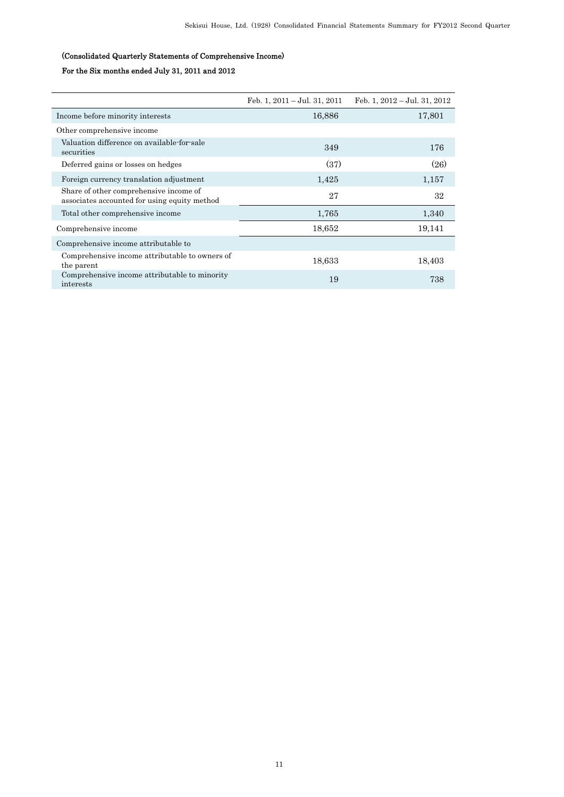# (Consolidated Quarterly Statements of Comprehensive Income)

# For the Six months ended July 31, 2011 and 2012

|                                                                                        | Feb. 1, $2011 -$ Jul. 31, $2011$ | Feb. 1, $2012 -$ Jul. 31, $2012$ |
|----------------------------------------------------------------------------------------|----------------------------------|----------------------------------|
| Income before minority interests                                                       | 16,886                           | 17,801                           |
| Other comprehensive income                                                             |                                  |                                  |
| Valuation difference on available-for-sale<br>securities                               | 349                              | 176                              |
| Deferred gains or losses on hedges                                                     | (37)                             | (26)                             |
| Foreign currency translation adjustment                                                | 1,425                            | 1,157                            |
| Share of other comprehensive income of<br>associates accounted for using equity method | 27                               | 32                               |
| Total other comprehensive income                                                       | 1,765                            | 1,340                            |
| Comprehensive income                                                                   | 18,652                           | 19,141                           |
| Comprehensive income attributable to                                                   |                                  |                                  |
| Comprehensive income attributable to owners of<br>the parent                           | 18,633                           | 18,403                           |
| Comprehensive income attributable to minority<br>interests                             | 19                               | 738                              |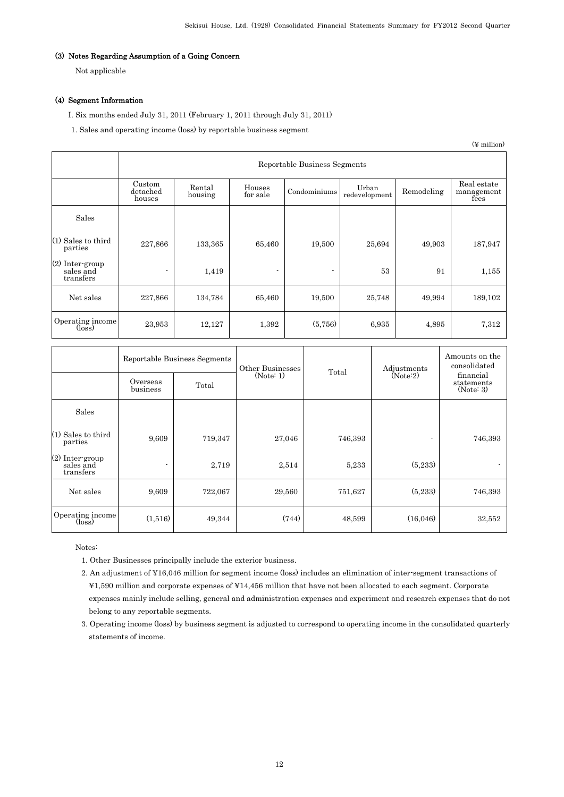# (3) Notes Regarding Assumption of a Going Concern

Not applicable

## (4) Segment Information

I. Six months ended July 31, 2011 (February 1, 2011 through July 31, 2011)

1. Sales and operating income (loss) by reportable business segment

(¥ million)

|                                                | Reportable Business Segments |                   |                    |               |                        |            |                                   |  |
|------------------------------------------------|------------------------------|-------------------|--------------------|---------------|------------------------|------------|-----------------------------------|--|
|                                                | Custom<br>detached<br>houses | Rental<br>housing | Houses<br>for sale | Condominiums  | Urban<br>redevelopment | Remodeling | Real estate<br>management<br>fees |  |
| Sales                                          |                              |                   |                    |               |                        |            |                                   |  |
| $(1)$ Sales to third<br>parties                | 227,866                      | 133,365           | 65,460             | 19.500        | 25,694                 | 49,903     | 187,947                           |  |
| (2) Inter-group<br>sales and<br>transfers      | ٠                            | 1,419             | $\overline{a}$     | $\frac{1}{2}$ | 53                     | 91         | 1,155                             |  |
| Net sales                                      | 227,866                      | 134,784           | 65,460             | 19.500        | 25,748                 | 49,994     | 189,102                           |  |
| Operating income<br>$(\overline{\text{loss}})$ | 23,953                       | 12,127            | 1,392              | (5,756)       | 6.935                  | 4,895      | 7,312                             |  |

|                                                | Overseas<br>business | Reportable Business Segments<br>Total | Other Businesses<br>(Note: 1) | Total   | Adjustments<br>(Note:2)  | Amounts on the<br>consolidated<br>financial<br>statements<br>(Note: 3) |
|------------------------------------------------|----------------------|---------------------------------------|-------------------------------|---------|--------------------------|------------------------------------------------------------------------|
|                                                |                      |                                       |                               |         |                          |                                                                        |
| Sales                                          |                      |                                       |                               |         |                          |                                                                        |
| $(1)$ Sales to third<br>parties                | 9,609                | 719,347                               | 27,046                        | 746,393 | $\overline{\phantom{a}}$ | 746,393                                                                |
| (2) Inter group<br>sales and<br>transfers      | ٠                    | 2,719                                 | 2,514                         | 5,233   | (5,233)                  |                                                                        |
| Net sales                                      | 9,609                | 722,067                               | 29,560                        | 751,627 | (5,233)                  | 746,393                                                                |
| Operating income<br>$(\overline{\text{loss}})$ | (1,516)              | 49,344                                | (744)                         | 48,599  | (16,046)                 | 32,552                                                                 |

Notes:

- 1. Other Businesses principally include the exterior business.
- 2. An adjustment of ¥16,046 million for segment income (loss) includes an elimination of inter-segment transactions of ¥1,590 million and corporate expenses of ¥14,456 million that have not been allocated to each segment. Corporate expenses mainly include selling, general and administration expenses and experiment and research expenses that do not belong to any reportable segments.
- 3. Operating income (loss) by business segment is adjusted to correspond to operating income in the consolidated quarterly statements of income.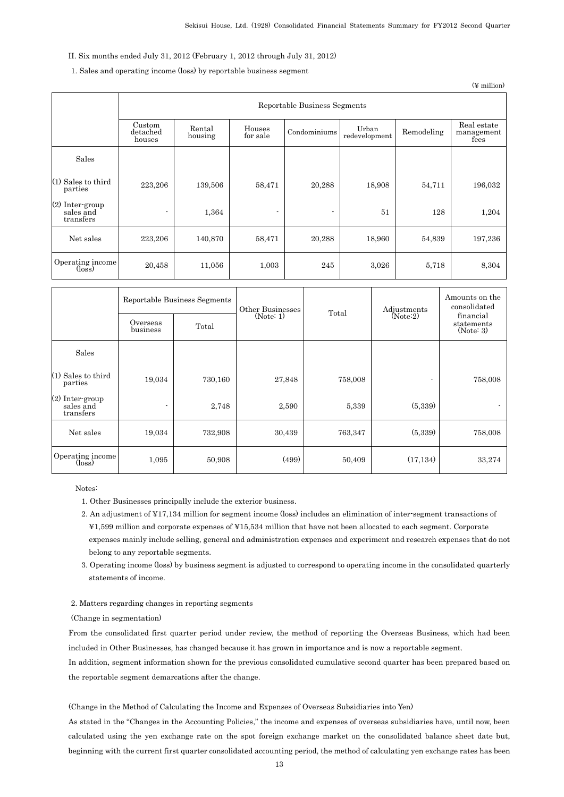### II. Six months ended July 31, 2012 (February 1, 2012 through July 31, 2012)

## 1. Sales and operating income (loss) by reportable business segment

(¥ million)

|                                           | Reportable Business Segments |                   |                    |              |                        |            |                                   |  |  |
|-------------------------------------------|------------------------------|-------------------|--------------------|--------------|------------------------|------------|-----------------------------------|--|--|
|                                           | Custom<br>detached<br>houses | Rental<br>housing | Houses<br>for sale | Condominiums | Urban<br>redevelopment | Remodeling | Real estate<br>management<br>fees |  |  |
| Sales                                     |                              |                   |                    |              |                        |            |                                   |  |  |
| $(1)$ Sales to third<br>parties           | 223,206                      | 139,506           | 58,471             | 20,288       | 18,908                 | 54,711     | 196,032                           |  |  |
| (2) Inter-group<br>sales and<br>transfers | $\blacksquare$               | 1,364             |                    | ٠            | 51                     | 128        | 1,204                             |  |  |
| Net sales                                 | 223,206                      | 140,870           | 58,471             | 20,288       | 18,960                 | 54,839     | 197,236                           |  |  |
| Operating income<br>$(\text{loss})$       | 20,458                       | 11,056            | 1,003              | 245          | 3,026                  | 5,718      | 8,304                             |  |  |

|                                                |                      | Reportable Business Segments | Other Businesses<br>(Note: 1) | Total   | Adjustments<br>(Note:2) | Amounts on the<br>consolidated<br>financial |
|------------------------------------------------|----------------------|------------------------------|-------------------------------|---------|-------------------------|---------------------------------------------|
|                                                | Overseas<br>business | Total                        |                               |         |                         | statements<br>(Note: 3)                     |
| Sales                                          |                      |                              |                               |         |                         |                                             |
| $(1)$ Sales to third<br>parties                | 19,034               | 730,160                      | 27,848                        | 758,008 | ٠                       | 758,008                                     |
| (2) Inter-group<br>sales and<br>transfers      | $\overline{a}$       | 2,748                        | 2,590                         | 5,339   | (5,339)                 |                                             |
| Net sales                                      | 19,034               | 732,908                      | 30,439                        | 763,347 | (5,339)                 | 758,008                                     |
| Operating income<br>$(\overline{\text{loss}})$ | 1,095                | 50,908                       | (499)                         | 50,409  | (17, 134)               | 33,274                                      |

Notes:

1. Other Businesses principally include the exterior business.

- 2. An adjustment of ¥17,134 million for segment income (loss) includes an elimination of inter-segment transactions of ¥1,599 million and corporate expenses of ¥15,534 million that have not been allocated to each segment. Corporate expenses mainly include selling, general and administration expenses and experiment and research expenses that do not belong to any reportable segments.
- 3. Operating income (loss) by business segment is adjusted to correspond to operating income in the consolidated quarterly statements of income.

#### 2. Matters regarding changes in reporting segments

(Change in segmentation)

From the consolidated first quarter period under review, the method of reporting the Overseas Business, which had been included in Other Businesses, has changed because it has grown in importance and is now a reportable segment.

In addition, segment information shown for the previous consolidated cumulative second quarter has been prepared based on the reportable segment demarcations after the change.

#### (Change in the Method of Calculating the Income and Expenses of Overseas Subsidiaries into Yen)

As stated in the "Changes in the Accounting Policies," the income and expenses of overseas subsidiaries have, until now, been calculated using the yen exchange rate on the spot foreign exchange market on the consolidated balance sheet date but, beginning with the current first quarter consolidated accounting period, the method of calculating yen exchange rates has been